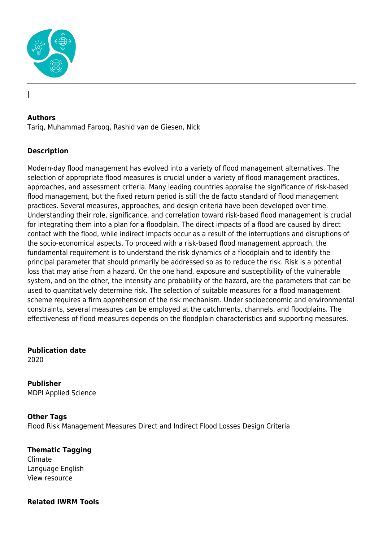

#### **Authors**

|

Tariq, Muhammad Farooq, Rashid van de Giesen, Nick

### **Description**

Modern-day flood management has evolved into a variety of flood management alternatives. The selection of appropriate flood measures is crucial under a variety of flood management practices, approaches, and assessment criteria. Many leading countries appraise the significance of risk-based flood management, but the fixed return period is still the de facto standard of flood management practices. Several measures, approaches, and design criteria have been developed over time. Understanding their role, significance, and correlation toward risk-based flood management is crucial for integrating them into a plan for a floodplain. The direct impacts of a flood are caused by direct contact with the flood, while indirect impacts occur as a result of the interruptions and disruptions of the socio-economical aspects. To proceed with a risk-based flood management approach, the fundamental requirement is to understand the risk dynamics of a floodplain and to identify the principal parameter that should primarily be addressed so as to reduce the risk. Risk is a potential loss that may arise from a hazard. On the one hand, exposure and susceptibility of the vulnerable system, and on the other, the intensity and probability of the hazard, are the parameters that can be used to quantitatively determine risk. The selection of suitable measures for a flood management scheme requires a firm apprehension of the risk mechanism. Under socioeconomic and environmental constraints, several measures can be employed at the catchments, channels, and floodplains. The effectiveness of flood measures depends on the floodplain characteristics and supporting measures.

**Publication date** 2020

**Publisher** MDPI Applied Science

**Other Tags** Flood Risk Management Measures Direct and Indirect Flood Losses Design Criteria

**Thematic Tagging** Climate Language English View resource

#### **Related IWRM Tools**